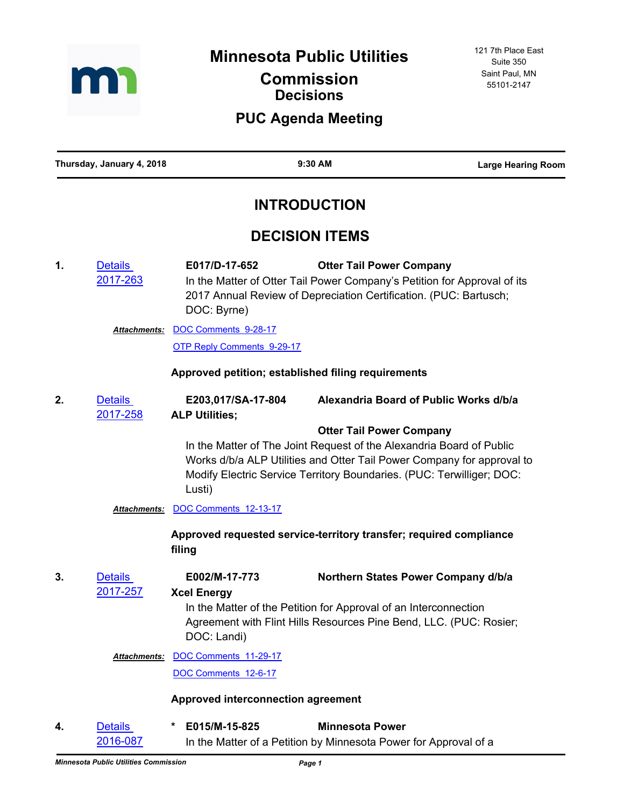

**Minnesota Public Utilities** 

## **Commission Decisions**

## **PUC Agenda Meeting**

**Thursday, January 4, 2018 9:30 AM Large Hearing Room**

# **INTRODUCTION**

## **DECISION ITEMS**

**1.** Details [2017-263](http://minnesotapuc.legistar.com/gateway.aspx?m=l&id=/matter.aspx?key=2724) **E017/D-17-652 Otter Tail Power Company** In the Matter of Otter Tail Power Company's Petition for Approval of its 2017 Annual Review of Depreciation Certification. (PUC: Bartusch; DOC: Byrne) Attachments: [DOC Comments 9-28-17](http://minnesotapuc.legistar.com/gateway.aspx?M=F&ID=1193e4d6-274a-4f97-a498-50a0eaef9d7e.pdf) [OTP Reply Comments 9-29-17](http://minnesotapuc.legistar.com/gateway.aspx?M=F&ID=33951ca8-d820-40e3-ab9a-1d82ae69873b.pdf) **Approved petition; established filing requirements 2.** Details [2017-258](http://minnesotapuc.legistar.com/gateway.aspx?m=l&id=/matter.aspx?key=2719) **E203,017/SA-17-804 Alexandria Board of Public Works d/b/a ALP Utilities; Otter Tail Power Company** In the Matter of The Joint Request of the Alexandria Board of Public Works d/b/a ALP Utilities and Otter Tail Power Company for approval to Modify Electric Service Territory Boundaries. (PUC: Terwilliger; DOC: Lusti) *Attachments:* [DOC Comments 12-13-17](http://minnesotapuc.legistar.com/gateway.aspx?M=F&ID=6ba3833e-ada7-4034-8cba-3f7dbf278751.pdf) **Approved requested service-territory transfer; required compliance filing 3.** Details [2017-257](http://minnesotapuc.legistar.com/gateway.aspx?m=l&id=/matter.aspx?key=2718) **E002/M-17-773 Northern States Power Company d/b/a Xcel Energy** In the Matter of the Petition for Approval of an Interconnection Agreement with Flint Hills Resources Pine Bend, LLC. (PUC: Rosier; DOC: Landi) Attachments: **[DOC Comments 11-29-17](http://minnesotapuc.legistar.com/gateway.aspx?M=F&ID=cc9810fc-8477-4dde-924d-9e9f0ad1b95d.pdf)** [DOC Comments 12-6-17](http://minnesotapuc.legistar.com/gateway.aspx?M=F&ID=3430f30b-778f-4567-8d96-63712c9676b8.pdf) **Approved interconnection agreement 4.** Details **\* E015/M-15-825 Minnesota Power**

[2016-087](http://minnesotapuc.legistar.com/gateway.aspx?m=l&id=/matter.aspx?key=2284) In the Matter of a Petition by Minnesota Power for Approval of a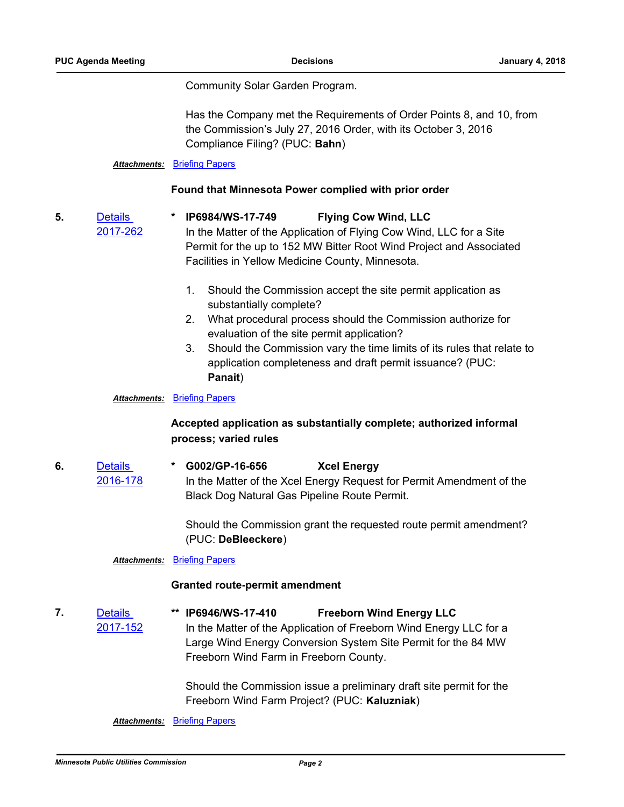[2017-262](http://minnesotapuc.legistar.com/gateway.aspx?m=l&id=/matter.aspx?key=2723)

Community Solar Garden Program.

Has the Company met the Requirements of Order Points 8, and 10, from the Commission's July 27, 2016 Order, with its October 3, 2016 Compliance Filing? (PUC: **Bahn**)

#### *Attachments:* [Briefing Papers](http://minnesotapuc.legistar.com/gateway.aspx?M=F&ID=5c1f68f3-c066-4529-aaf9-5e76bc8ec480.pdf)

#### **Found that Minnesota Power complied with prior order**

**5.** Details

**\* IP6984/WS-17-749 Flying Cow Wind, LLC**

In the Matter of the Application of Flying Cow Wind, LLC for a Site Permit for the up to 152 MW Bitter Root Wind Project and Associated Facilities in Yellow Medicine County, Minnesota.

- 1. Should the Commission accept the site permit application as substantially complete?
- 2. What procedural process should the Commission authorize for evaluation of the site permit application?
- 3. Should the Commission vary the time limits of its rules that relate to application completeness and draft permit issuance? (PUC: **Panait**)

#### *Attachments:* [Briefing Papers](http://minnesotapuc.legistar.com/gateway.aspx?M=F&ID=05fe7d74-154c-4f60-b3b4-8af09f46344f.pdf)

### **Accepted application as substantially complete; authorized informal process; varied rules**

**6.** Details [2016-178](http://minnesotapuc.legistar.com/gateway.aspx?m=l&id=/matter.aspx?key=2375) **\* G002/GP-16-656 Xcel Energy** In the Matter of the Xcel Energy Request for Permit Amendment of the Black Dog Natural Gas Pipeline Route Permit.

> Should the Commission grant the requested route permit amendment? (PUC: **DeBleeckere**)

#### **Attachments: [Briefing Papers](http://minnesotapuc.legistar.com/gateway.aspx?M=F&ID=b7a2232f-b6c7-4d64-ac26-9c82833a0e12.pdf)**

#### **Granted route-permit amendment**

**7.** Details [2017-152](http://minnesotapuc.legistar.com/gateway.aspx?m=l&id=/matter.aspx?key=2613) **\*\* IP6946/WS-17-410 Freeborn Wind Energy LLC** In the Matter of the Application of Freeborn Wind Energy LLC for a Large Wind Energy Conversion System Site Permit for the 84 MW Freeborn Wind Farm in Freeborn County.

> Should the Commission issue a preliminary draft site permit for the Freeborn Wind Farm Project? (PUC: **Kaluzniak**)

#### **Attachments: [Briefing Papers](http://minnesotapuc.legistar.com/gateway.aspx?M=F&ID=51877879-664f-44b4-aa43-eb9aff5a7f11.pdf)**